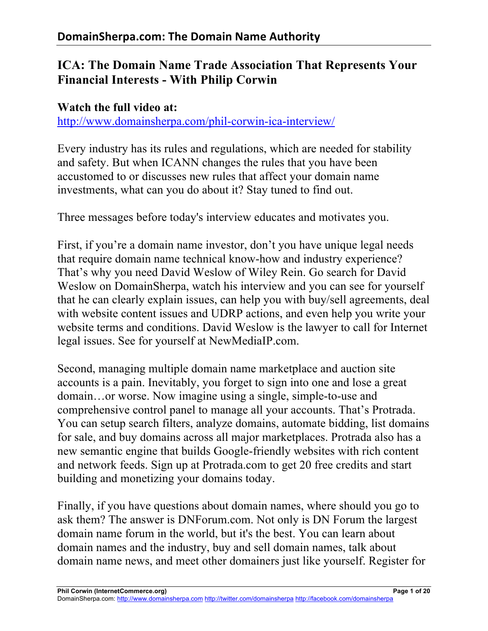## **ICA: The Domain Name Trade Association That Represents Your Financial Interests - With Philip Corwin**

## **Watch the full video at:** http://www.domainsherpa.com/phil-corwin-ica-interview/

Every industry has its rules and regulations, which are needed for stability and safety. But when ICANN changes the rules that you have been accustomed to or discusses new rules that affect your domain name investments, what can you do about it? Stay tuned to find out.

Three messages before today's interview educates and motivates you.

First, if you're a domain name investor, don't you have unique legal needs that require domain name technical know-how and industry experience? That's why you need David Weslow of Wiley Rein. Go search for David Weslow on DomainSherpa, watch his interview and you can see for yourself that he can clearly explain issues, can help you with buy/sell agreements, deal with website content issues and UDRP actions, and even help you write your website terms and conditions. David Weslow is the lawyer to call for Internet legal issues. See for yourself at NewMediaIP.com.

Second, managing multiple domain name marketplace and auction site accounts is a pain. Inevitably, you forget to sign into one and lose a great domain…or worse. Now imagine using a single, simple-to-use and comprehensive control panel to manage all your accounts. That's Protrada. You can setup search filters, analyze domains, automate bidding, list domains for sale, and buy domains across all major marketplaces. Protrada also has a new semantic engine that builds Google-friendly websites with rich content and network feeds. Sign up at Protrada.com to get 20 free credits and start building and monetizing your domains today.

Finally, if you have questions about domain names, where should you go to ask them? The answer is DNForum.com. Not only is DN Forum the largest domain name forum in the world, but it's the best. You can learn about domain names and the industry, buy and sell domain names, talk about domain name news, and meet other domainers just like yourself. Register for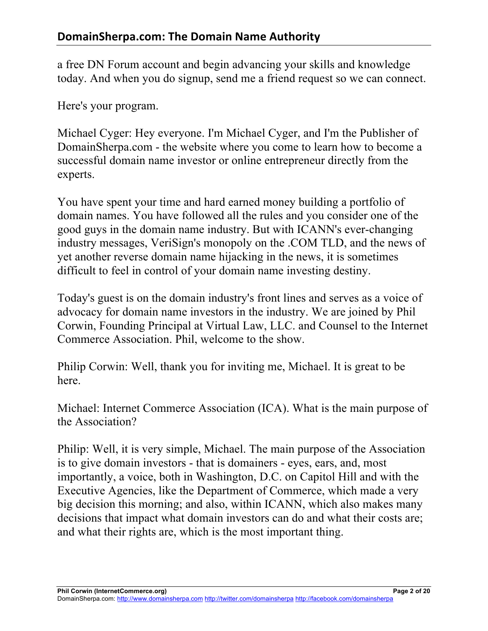a free DN Forum account and begin advancing your skills and knowledge today. And when you do signup, send me a friend request so we can connect.

Here's your program.

Michael Cyger: Hey everyone. I'm Michael Cyger, and I'm the Publisher of DomainSherpa.com - the website where you come to learn how to become a successful domain name investor or online entrepreneur directly from the experts.

You have spent your time and hard earned money building a portfolio of domain names. You have followed all the rules and you consider one of the good guys in the domain name industry. But with ICANN's ever-changing industry messages, VeriSign's monopoly on the .COM TLD, and the news of yet another reverse domain name hijacking in the news, it is sometimes difficult to feel in control of your domain name investing destiny.

Today's guest is on the domain industry's front lines and serves as a voice of advocacy for domain name investors in the industry. We are joined by Phil Corwin, Founding Principal at Virtual Law, LLC. and Counsel to the Internet Commerce Association. Phil, welcome to the show.

Philip Corwin: Well, thank you for inviting me, Michael. It is great to be here.

Michael: Internet Commerce Association (ICA). What is the main purpose of the Association?

Philip: Well, it is very simple, Michael. The main purpose of the Association is to give domain investors - that is domainers - eyes, ears, and, most importantly, a voice, both in Washington, D.C. on Capitol Hill and with the Executive Agencies, like the Department of Commerce, which made a very big decision this morning; and also, within ICANN, which also makes many decisions that impact what domain investors can do and what their costs are; and what their rights are, which is the most important thing.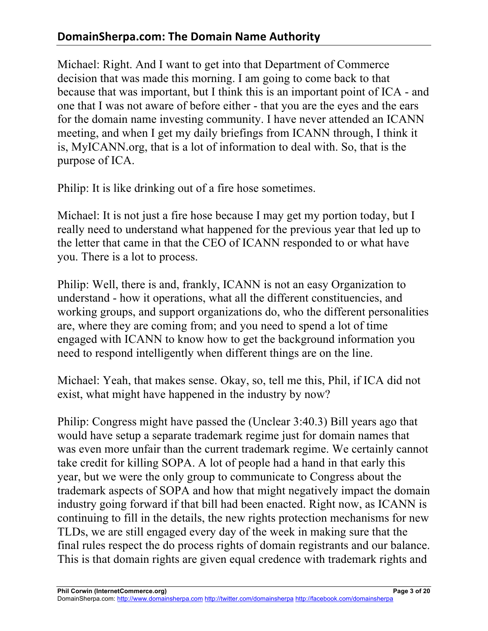## **DomainSherpa.com: The Domain Name Authority**

Michael: Right. And I want to get into that Department of Commerce decision that was made this morning. I am going to come back to that because that was important, but I think this is an important point of ICA - and one that I was not aware of before either - that you are the eyes and the ears for the domain name investing community. I have never attended an ICANN meeting, and when I get my daily briefings from ICANN through, I think it is, MyICANN.org, that is a lot of information to deal with. So, that is the purpose of ICA.

Philip: It is like drinking out of a fire hose sometimes.

Michael: It is not just a fire hose because I may get my portion today, but I really need to understand what happened for the previous year that led up to the letter that came in that the CEO of ICANN responded to or what have you. There is a lot to process.

Philip: Well, there is and, frankly, ICANN is not an easy Organization to understand - how it operations, what all the different constituencies, and working groups, and support organizations do, who the different personalities are, where they are coming from; and you need to spend a lot of time engaged with ICANN to know how to get the background information you need to respond intelligently when different things are on the line.

Michael: Yeah, that makes sense. Okay, so, tell me this, Phil, if ICA did not exist, what might have happened in the industry by now?

Philip: Congress might have passed the (Unclear 3:40.3) Bill years ago that would have setup a separate trademark regime just for domain names that was even more unfair than the current trademark regime. We certainly cannot take credit for killing SOPA. A lot of people had a hand in that early this year, but we were the only group to communicate to Congress about the trademark aspects of SOPA and how that might negatively impact the domain industry going forward if that bill had been enacted. Right now, as ICANN is continuing to fill in the details, the new rights protection mechanisms for new TLDs, we are still engaged every day of the week in making sure that the final rules respect the do process rights of domain registrants and our balance. This is that domain rights are given equal credence with trademark rights and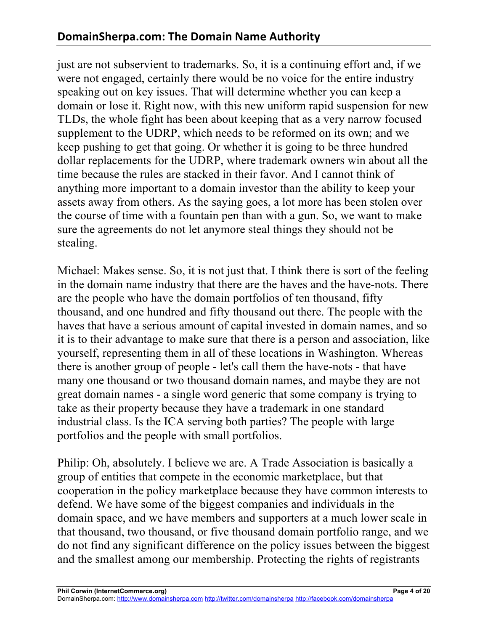just are not subservient to trademarks. So, it is a continuing effort and, if we were not engaged, certainly there would be no voice for the entire industry speaking out on key issues. That will determine whether you can keep a domain or lose it. Right now, with this new uniform rapid suspension for new TLDs, the whole fight has been about keeping that as a very narrow focused supplement to the UDRP, which needs to be reformed on its own; and we keep pushing to get that going. Or whether it is going to be three hundred dollar replacements for the UDRP, where trademark owners win about all the time because the rules are stacked in their favor. And I cannot think of anything more important to a domain investor than the ability to keep your assets away from others. As the saying goes, a lot more has been stolen over the course of time with a fountain pen than with a gun. So, we want to make sure the agreements do not let anymore steal things they should not be stealing.

Michael: Makes sense. So, it is not just that. I think there is sort of the feeling in the domain name industry that there are the haves and the have-nots. There are the people who have the domain portfolios of ten thousand, fifty thousand, and one hundred and fifty thousand out there. The people with the haves that have a serious amount of capital invested in domain names, and so it is to their advantage to make sure that there is a person and association, like yourself, representing them in all of these locations in Washington. Whereas there is another group of people - let's call them the have-nots - that have many one thousand or two thousand domain names, and maybe they are not great domain names - a single word generic that some company is trying to take as their property because they have a trademark in one standard industrial class. Is the ICA serving both parties? The people with large portfolios and the people with small portfolios.

Philip: Oh, absolutely. I believe we are. A Trade Association is basically a group of entities that compete in the economic marketplace, but that cooperation in the policy marketplace because they have common interests to defend. We have some of the biggest companies and individuals in the domain space, and we have members and supporters at a much lower scale in that thousand, two thousand, or five thousand domain portfolio range, and we do not find any significant difference on the policy issues between the biggest and the smallest among our membership. Protecting the rights of registrants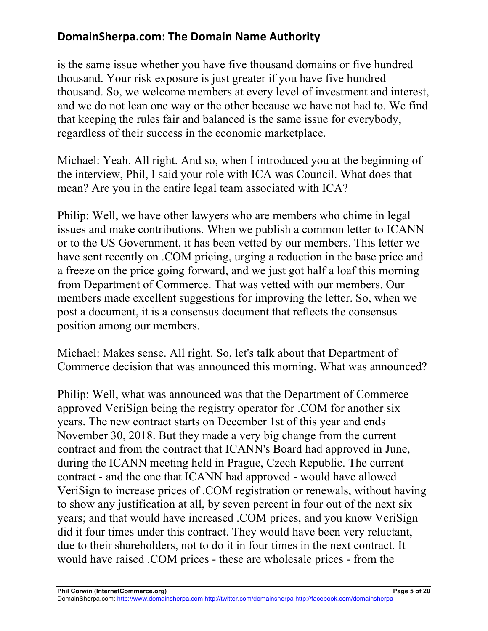is the same issue whether you have five thousand domains or five hundred thousand. Your risk exposure is just greater if you have five hundred thousand. So, we welcome members at every level of investment and interest, and we do not lean one way or the other because we have not had to. We find that keeping the rules fair and balanced is the same issue for everybody, regardless of their success in the economic marketplace.

Michael: Yeah. All right. And so, when I introduced you at the beginning of the interview, Phil, I said your role with ICA was Council. What does that mean? Are you in the entire legal team associated with ICA?

Philip: Well, we have other lawyers who are members who chime in legal issues and make contributions. When we publish a common letter to ICANN or to the US Government, it has been vetted by our members. This letter we have sent recently on .COM pricing, urging a reduction in the base price and a freeze on the price going forward, and we just got half a loaf this morning from Department of Commerce. That was vetted with our members. Our members made excellent suggestions for improving the letter. So, when we post a document, it is a consensus document that reflects the consensus position among our members.

Michael: Makes sense. All right. So, let's talk about that Department of Commerce decision that was announced this morning. What was announced?

Philip: Well, what was announced was that the Department of Commerce approved VeriSign being the registry operator for .COM for another six years. The new contract starts on December 1st of this year and ends November 30, 2018. But they made a very big change from the current contract and from the contract that ICANN's Board had approved in June, during the ICANN meeting held in Prague, Czech Republic. The current contract - and the one that ICANN had approved - would have allowed VeriSign to increase prices of .COM registration or renewals, without having to show any justification at all, by seven percent in four out of the next six years; and that would have increased .COM prices, and you know VeriSign did it four times under this contract. They would have been very reluctant, due to their shareholders, not to do it in four times in the next contract. It would have raised .COM prices - these are wholesale prices - from the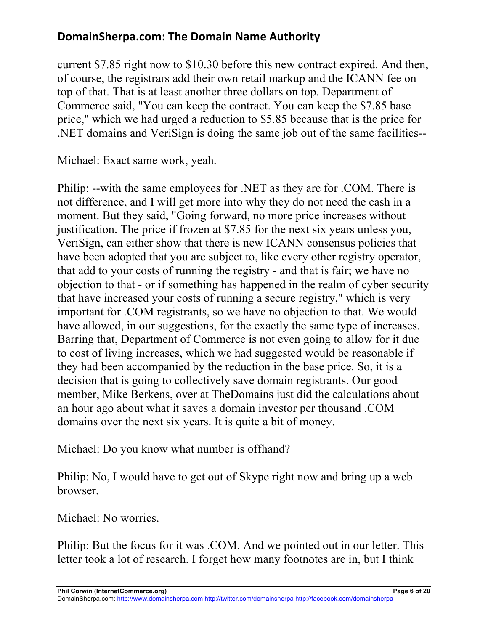current \$7.85 right now to \$10.30 before this new contract expired. And then, of course, the registrars add their own retail markup and the ICANN fee on top of that. That is at least another three dollars on top. Department of Commerce said, "You can keep the contract. You can keep the \$7.85 base price," which we had urged a reduction to \$5.85 because that is the price for .NET domains and VeriSign is doing the same job out of the same facilities--

Michael: Exact same work, yeah.

Philip: --with the same employees for .NET as they are for .COM. There is not difference, and I will get more into why they do not need the cash in a moment. But they said, "Going forward, no more price increases without justification. The price if frozen at \$7.85 for the next six years unless you, VeriSign, can either show that there is new ICANN consensus policies that have been adopted that you are subject to, like every other registry operator, that add to your costs of running the registry - and that is fair; we have no objection to that - or if something has happened in the realm of cyber security that have increased your costs of running a secure registry," which is very important for .COM registrants, so we have no objection to that. We would have allowed, in our suggestions, for the exactly the same type of increases. Barring that, Department of Commerce is not even going to allow for it due to cost of living increases, which we had suggested would be reasonable if they had been accompanied by the reduction in the base price. So, it is a decision that is going to collectively save domain registrants. Our good member, Mike Berkens, over at TheDomains just did the calculations about an hour ago about what it saves a domain investor per thousand .COM domains over the next six years. It is quite a bit of money.

Michael: Do you know what number is offhand?

Philip: No, I would have to get out of Skype right now and bring up a web browser.

Michael: No worries.

Philip: But the focus for it was .COM. And we pointed out in our letter. This letter took a lot of research. I forget how many footnotes are in, but I think

**Phil Corwin (InternetCommerce.org) Page 6 of 20**

DomainSherpa.com: http://www.domainsherpa.com http://twitter.com/domainsherpa http://facebook.com/domainsherpa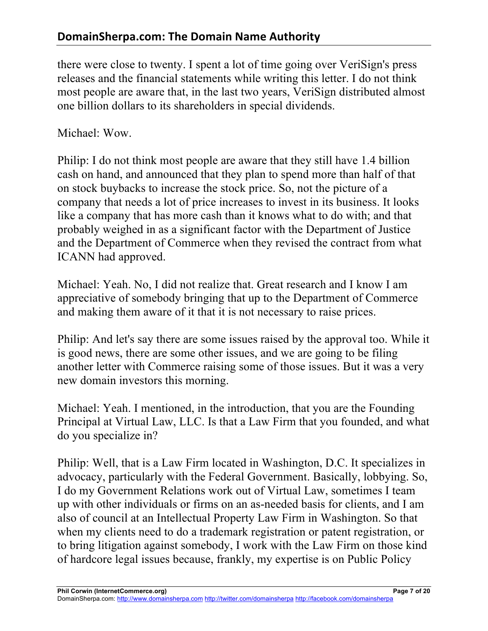there were close to twenty. I spent a lot of time going over VeriSign's press releases and the financial statements while writing this letter. I do not think most people are aware that, in the last two years, VeriSign distributed almost one billion dollars to its shareholders in special dividends.

Michael: Wow.

Philip: I do not think most people are aware that they still have 1.4 billion cash on hand, and announced that they plan to spend more than half of that on stock buybacks to increase the stock price. So, not the picture of a company that needs a lot of price increases to invest in its business. It looks like a company that has more cash than it knows what to do with; and that probably weighed in as a significant factor with the Department of Justice and the Department of Commerce when they revised the contract from what ICANN had approved.

Michael: Yeah. No, I did not realize that. Great research and I know I am appreciative of somebody bringing that up to the Department of Commerce and making them aware of it that it is not necessary to raise prices.

Philip: And let's say there are some issues raised by the approval too. While it is good news, there are some other issues, and we are going to be filing another letter with Commerce raising some of those issues. But it was a very new domain investors this morning.

Michael: Yeah. I mentioned, in the introduction, that you are the Founding Principal at Virtual Law, LLC. Is that a Law Firm that you founded, and what do you specialize in?

Philip: Well, that is a Law Firm located in Washington, D.C. It specializes in advocacy, particularly with the Federal Government. Basically, lobbying. So, I do my Government Relations work out of Virtual Law, sometimes I team up with other individuals or firms on an as-needed basis for clients, and I am also of council at an Intellectual Property Law Firm in Washington. So that when my clients need to do a trademark registration or patent registration, or to bring litigation against somebody, I work with the Law Firm on those kind of hardcore legal issues because, frankly, my expertise is on Public Policy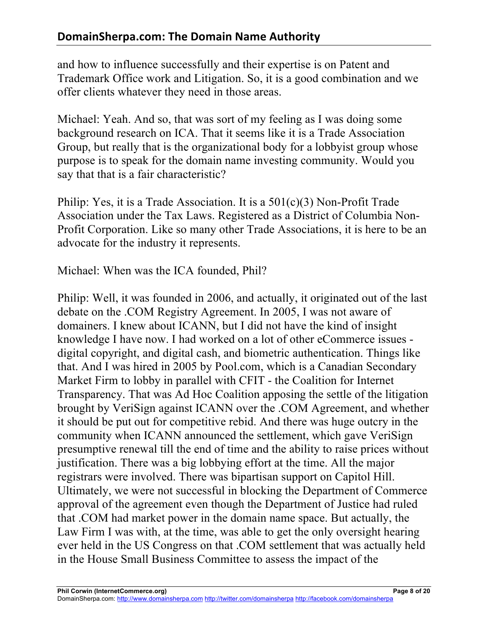and how to influence successfully and their expertise is on Patent and Trademark Office work and Litigation. So, it is a good combination and we offer clients whatever they need in those areas.

Michael: Yeah. And so, that was sort of my feeling as I was doing some background research on ICA. That it seems like it is a Trade Association Group, but really that is the organizational body for a lobbyist group whose purpose is to speak for the domain name investing community. Would you say that that is a fair characteristic?

Philip: Yes, it is a Trade Association. It is a 501(c)(3) Non-Profit Trade Association under the Tax Laws. Registered as a District of Columbia Non-Profit Corporation. Like so many other Trade Associations, it is here to be an advocate for the industry it represents.

Michael: When was the ICA founded, Phil?

Philip: Well, it was founded in 2006, and actually, it originated out of the last debate on the .COM Registry Agreement. In 2005, I was not aware of domainers. I knew about ICANN, but I did not have the kind of insight knowledge I have now. I had worked on a lot of other eCommerce issues digital copyright, and digital cash, and biometric authentication. Things like that. And I was hired in 2005 by Pool.com, which is a Canadian Secondary Market Firm to lobby in parallel with CFIT - the Coalition for Internet Transparency. That was Ad Hoc Coalition apposing the settle of the litigation brought by VeriSign against ICANN over the .COM Agreement, and whether it should be put out for competitive rebid. And there was huge outcry in the community when ICANN announced the settlement, which gave VeriSign presumptive renewal till the end of time and the ability to raise prices without justification. There was a big lobbying effort at the time. All the major registrars were involved. There was bipartisan support on Capitol Hill. Ultimately, we were not successful in blocking the Department of Commerce approval of the agreement even though the Department of Justice had ruled that .COM had market power in the domain name space. But actually, the Law Firm I was with, at the time, was able to get the only oversight hearing ever held in the US Congress on that .COM settlement that was actually held in the House Small Business Committee to assess the impact of the

DomainSherpa.com: http://www.domainsherpa.com http://twitter.com/domainsherpa http://facebook.com/domainsherpa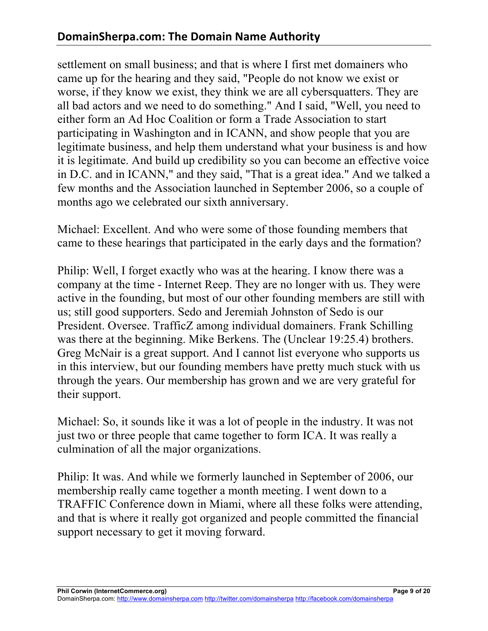settlement on small business; and that is where I first met domainers who came up for the hearing and they said, "People do not know we exist or worse, if they know we exist, they think we are all cybersquatters. They are all bad actors and we need to do something." And I said, "Well, you need to either form an Ad Hoc Coalition or form a Trade Association to start participating in Washington and in ICANN, and show people that you are legitimate business, and help them understand what your business is and how it is legitimate. And build up credibility so you can become an effective voice in D.C. and in ICANN," and they said, "That is a great idea." And we talked a few months and the Association launched in September 2006, so a couple of months ago we celebrated our sixth anniversary.

Michael: Excellent. And who were some of those founding members that came to these hearings that participated in the early days and the formation?

Philip: Well, I forget exactly who was at the hearing. I know there was a company at the time - Internet Reep. They are no longer with us. They were active in the founding, but most of our other founding members are still with us; still good supporters. Sedo and Jeremiah Johnston of Sedo is our President. Oversee. TrafficZ among individual domainers. Frank Schilling was there at the beginning. Mike Berkens. The (Unclear 19:25.4) brothers. Greg McNair is a great support. And I cannot list everyone who supports us in this interview, but our founding members have pretty much stuck with us through the years. Our membership has grown and we are very grateful for their support.

Michael: So, it sounds like it was a lot of people in the industry. It was not just two or three people that came together to form ICA. It was really a culmination of all the major organizations.

Philip: It was. And while we formerly launched in September of 2006, our membership really came together a month meeting. I went down to a TRAFFIC Conference down in Miami, where all these folks were attending, and that is where it really got organized and people committed the financial support necessary to get it moving forward.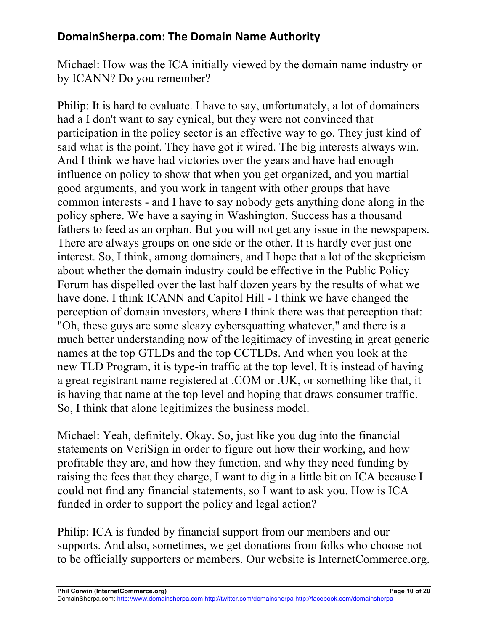Michael: How was the ICA initially viewed by the domain name industry or by ICANN? Do you remember?

Philip: It is hard to evaluate. I have to say, unfortunately, a lot of domainers had a I don't want to say cynical, but they were not convinced that participation in the policy sector is an effective way to go. They just kind of said what is the point. They have got it wired. The big interests always win. And I think we have had victories over the years and have had enough influence on policy to show that when you get organized, and you martial good arguments, and you work in tangent with other groups that have common interests - and I have to say nobody gets anything done along in the policy sphere. We have a saying in Washington. Success has a thousand fathers to feed as an orphan. But you will not get any issue in the newspapers. There are always groups on one side or the other. It is hardly ever just one interest. So, I think, among domainers, and I hope that a lot of the skepticism about whether the domain industry could be effective in the Public Policy Forum has dispelled over the last half dozen years by the results of what we have done. I think ICANN and Capitol Hill - I think we have changed the perception of domain investors, where I think there was that perception that: "Oh, these guys are some sleazy cybersquatting whatever," and there is a much better understanding now of the legitimacy of investing in great generic names at the top GTLDs and the top CCTLDs. And when you look at the new TLD Program, it is type-in traffic at the top level. It is instead of having a great registrant name registered at .COM or .UK, or something like that, it is having that name at the top level and hoping that draws consumer traffic. So, I think that alone legitimizes the business model.

Michael: Yeah, definitely. Okay. So, just like you dug into the financial statements on VeriSign in order to figure out how their working, and how profitable they are, and how they function, and why they need funding by raising the fees that they charge, I want to dig in a little bit on ICA because I could not find any financial statements, so I want to ask you. How is ICA funded in order to support the policy and legal action?

Philip: ICA is funded by financial support from our members and our supports. And also, sometimes, we get donations from folks who choose not to be officially supporters or members. Our website is InternetCommerce.org.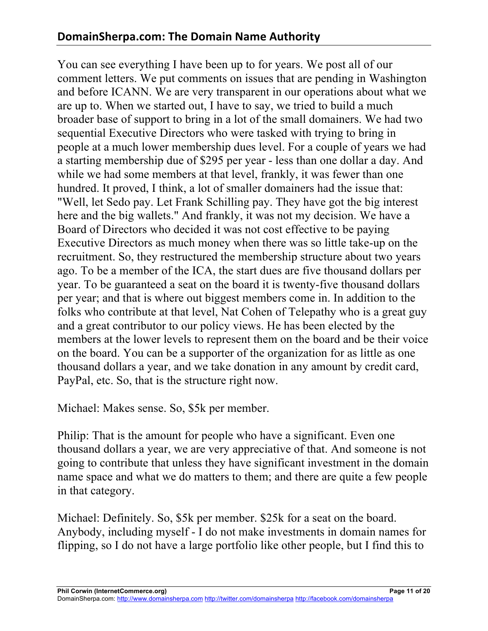You can see everything I have been up to for years. We post all of our comment letters. We put comments on issues that are pending in Washington and before ICANN. We are very transparent in our operations about what we are up to. When we started out, I have to say, we tried to build a much broader base of support to bring in a lot of the small domainers. We had two sequential Executive Directors who were tasked with trying to bring in people at a much lower membership dues level. For a couple of years we had a starting membership due of \$295 per year - less than one dollar a day. And while we had some members at that level, frankly, it was fewer than one hundred. It proved, I think, a lot of smaller domainers had the issue that: "Well, let Sedo pay. Let Frank Schilling pay. They have got the big interest here and the big wallets." And frankly, it was not my decision. We have a Board of Directors who decided it was not cost effective to be paying Executive Directors as much money when there was so little take-up on the recruitment. So, they restructured the membership structure about two years ago. To be a member of the ICA, the start dues are five thousand dollars per year. To be guaranteed a seat on the board it is twenty-five thousand dollars per year; and that is where out biggest members come in. In addition to the folks who contribute at that level, Nat Cohen of Telepathy who is a great guy and a great contributor to our policy views. He has been elected by the members at the lower levels to represent them on the board and be their voice on the board. You can be a supporter of the organization for as little as one thousand dollars a year, and we take donation in any amount by credit card, PayPal, etc. So, that is the structure right now.

Michael: Makes sense. So, \$5k per member.

Philip: That is the amount for people who have a significant. Even one thousand dollars a year, we are very appreciative of that. And someone is not going to contribute that unless they have significant investment in the domain name space and what we do matters to them; and there are quite a few people in that category.

Michael: Definitely. So, \$5k per member. \$25k for a seat on the board. Anybody, including myself - I do not make investments in domain names for flipping, so I do not have a large portfolio like other people, but I find this to

DomainSherpa.com: http://www.domainsherpa.com http://twitter.com/domainsherpa http://facebook.com/domainsherpa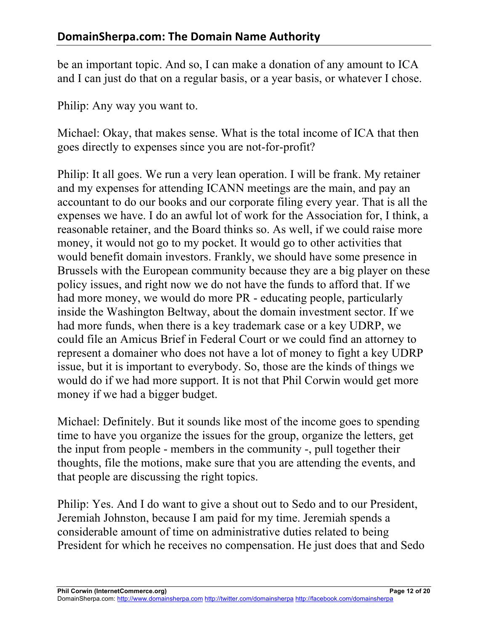be an important topic. And so, I can make a donation of any amount to ICA and I can just do that on a regular basis, or a year basis, or whatever I chose.

Philip: Any way you want to.

Michael: Okay, that makes sense. What is the total income of ICA that then goes directly to expenses since you are not-for-profit?

Philip: It all goes. We run a very lean operation. I will be frank. My retainer and my expenses for attending ICANN meetings are the main, and pay an accountant to do our books and our corporate filing every year. That is all the expenses we have. I do an awful lot of work for the Association for, I think, a reasonable retainer, and the Board thinks so. As well, if we could raise more money, it would not go to my pocket. It would go to other activities that would benefit domain investors. Frankly, we should have some presence in Brussels with the European community because they are a big player on these policy issues, and right now we do not have the funds to afford that. If we had more money, we would do more PR - educating people, particularly inside the Washington Beltway, about the domain investment sector. If we had more funds, when there is a key trademark case or a key UDRP, we could file an Amicus Brief in Federal Court or we could find an attorney to represent a domainer who does not have a lot of money to fight a key UDRP issue, but it is important to everybody. So, those are the kinds of things we would do if we had more support. It is not that Phil Corwin would get more money if we had a bigger budget.

Michael: Definitely. But it sounds like most of the income goes to spending time to have you organize the issues for the group, organize the letters, get the input from people - members in the community -, pull together their thoughts, file the motions, make sure that you are attending the events, and that people are discussing the right topics.

Philip: Yes. And I do want to give a shout out to Sedo and to our President, Jeremiah Johnston, because I am paid for my time. Jeremiah spends a considerable amount of time on administrative duties related to being President for which he receives no compensation. He just does that and Sedo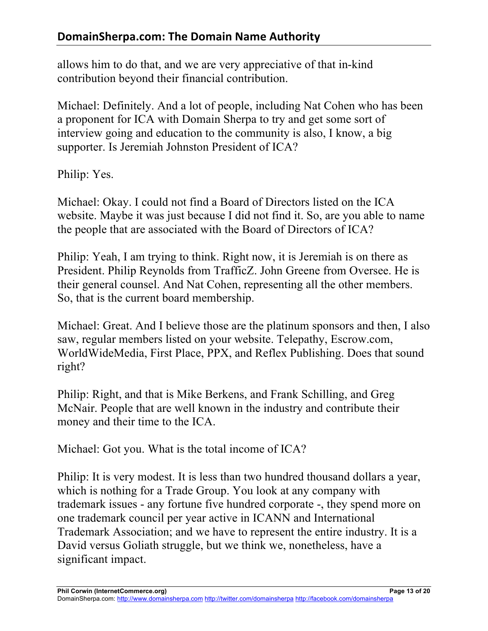allows him to do that, and we are very appreciative of that in-kind contribution beyond their financial contribution.

Michael: Definitely. And a lot of people, including Nat Cohen who has been a proponent for ICA with Domain Sherpa to try and get some sort of interview going and education to the community is also, I know, a big supporter. Is Jeremiah Johnston President of ICA?

Philip: Yes.

Michael: Okay. I could not find a Board of Directors listed on the ICA website. Maybe it was just because I did not find it. So, are you able to name the people that are associated with the Board of Directors of ICA?

Philip: Yeah, I am trying to think. Right now, it is Jeremiah is on there as President. Philip Reynolds from TrafficZ. John Greene from Oversee. He is their general counsel. And Nat Cohen, representing all the other members. So, that is the current board membership.

Michael: Great. And I believe those are the platinum sponsors and then, I also saw, regular members listed on your website. Telepathy, Escrow.com, WorldWideMedia, First Place, PPX, and Reflex Publishing. Does that sound right?

Philip: Right, and that is Mike Berkens, and Frank Schilling, and Greg McNair. People that are well known in the industry and contribute their money and their time to the ICA.

Michael: Got you. What is the total income of ICA?

Philip: It is very modest. It is less than two hundred thousand dollars a year, which is nothing for a Trade Group. You look at any company with trademark issues - any fortune five hundred corporate -, they spend more on one trademark council per year active in ICANN and International Trademark Association; and we have to represent the entire industry. It is a David versus Goliath struggle, but we think we, nonetheless, have a significant impact.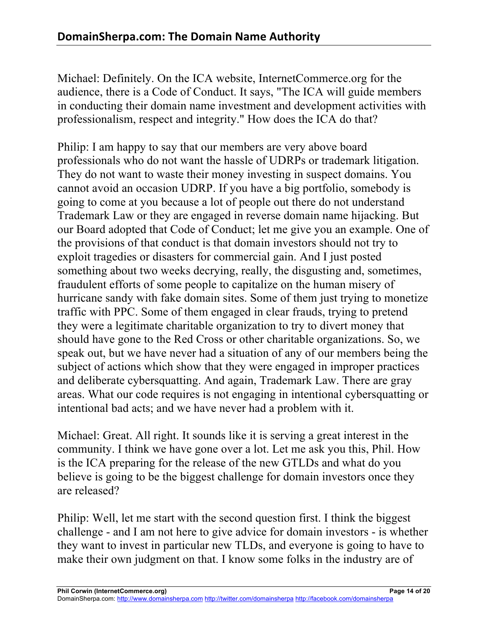Michael: Definitely. On the ICA website, InternetCommerce.org for the audience, there is a Code of Conduct. It says, "The ICA will guide members in conducting their domain name investment and development activities with professionalism, respect and integrity." How does the ICA do that?

Philip: I am happy to say that our members are very above board professionals who do not want the hassle of UDRPs or trademark litigation. They do not want to waste their money investing in suspect domains. You cannot avoid an occasion UDRP. If you have a big portfolio, somebody is going to come at you because a lot of people out there do not understand Trademark Law or they are engaged in reverse domain name hijacking. But our Board adopted that Code of Conduct; let me give you an example. One of the provisions of that conduct is that domain investors should not try to exploit tragedies or disasters for commercial gain. And I just posted something about two weeks decrying, really, the disgusting and, sometimes, fraudulent efforts of some people to capitalize on the human misery of hurricane sandy with fake domain sites. Some of them just trying to monetize traffic with PPC. Some of them engaged in clear frauds, trying to pretend they were a legitimate charitable organization to try to divert money that should have gone to the Red Cross or other charitable organizations. So, we speak out, but we have never had a situation of any of our members being the subject of actions which show that they were engaged in improper practices and deliberate cybersquatting. And again, Trademark Law. There are gray areas. What our code requires is not engaging in intentional cybersquatting or intentional bad acts; and we have never had a problem with it.

Michael: Great. All right. It sounds like it is serving a great interest in the community. I think we have gone over a lot. Let me ask you this, Phil. How is the ICA preparing for the release of the new GTLDs and what do you believe is going to be the biggest challenge for domain investors once they are released?

Philip: Well, let me start with the second question first. I think the biggest challenge - and I am not here to give advice for domain investors - is whether they want to invest in particular new TLDs, and everyone is going to have to make their own judgment on that. I know some folks in the industry are of

**Phil Corwin (InternetCommerce.org) Page 14 of 20**

DomainSherpa.com: http://www.domainsherpa.com http://twitter.com/domainsherpa http://facebook.com/domainsherpa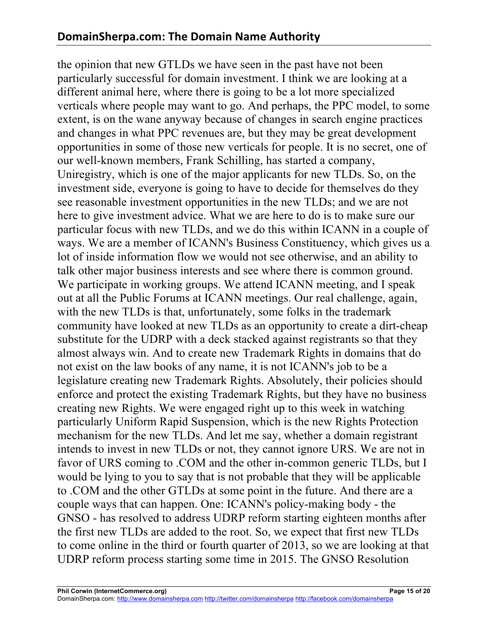the opinion that new GTLDs we have seen in the past have not been particularly successful for domain investment. I think we are looking at a different animal here, where there is going to be a lot more specialized verticals where people may want to go. And perhaps, the PPC model, to some extent, is on the wane anyway because of changes in search engine practices and changes in what PPC revenues are, but they may be great development opportunities in some of those new verticals for people. It is no secret, one of our well-known members, Frank Schilling, has started a company, Uniregistry, which is one of the major applicants for new TLDs. So, on the investment side, everyone is going to have to decide for themselves do they see reasonable investment opportunities in the new TLDs; and we are not here to give investment advice. What we are here to do is to make sure our particular focus with new TLDs, and we do this within ICANN in a couple of ways. We are a member of ICANN's Business Constituency, which gives us a lot of inside information flow we would not see otherwise, and an ability to talk other major business interests and see where there is common ground. We participate in working groups. We attend ICANN meeting, and I speak out at all the Public Forums at ICANN meetings. Our real challenge, again, with the new TLDs is that, unfortunately, some folks in the trademark community have looked at new TLDs as an opportunity to create a dirt-cheap substitute for the UDRP with a deck stacked against registrants so that they almost always win. And to create new Trademark Rights in domains that do not exist on the law books of any name, it is not ICANN's job to be a legislature creating new Trademark Rights. Absolutely, their policies should enforce and protect the existing Trademark Rights, but they have no business creating new Rights. We were engaged right up to this week in watching particularly Uniform Rapid Suspension, which is the new Rights Protection mechanism for the new TLDs. And let me say, whether a domain registrant intends to invest in new TLDs or not, they cannot ignore URS. We are not in favor of URS coming to .COM and the other in-common generic TLDs, but I would be lying to you to say that is not probable that they will be applicable to .COM and the other GTLDs at some point in the future. And there are a couple ways that can happen. One: ICANN's policy-making body - the GNSO - has resolved to address UDRP reform starting eighteen months after the first new TLDs are added to the root. So, we expect that first new TLDs to come online in the third or fourth quarter of 2013, so we are looking at that UDRP reform process starting some time in 2015. The GNSO Resolution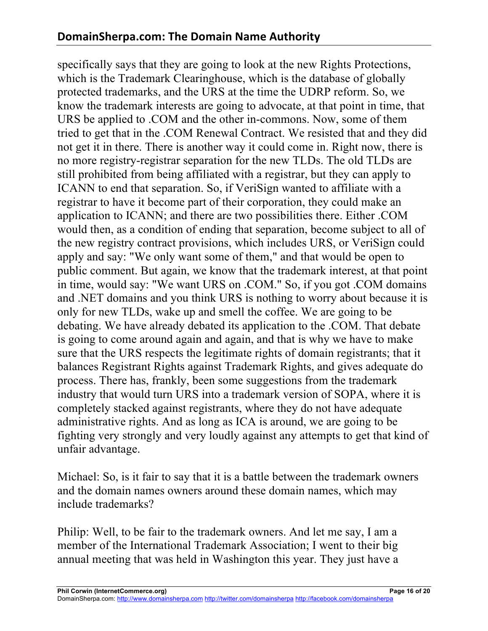specifically says that they are going to look at the new Rights Protections, which is the Trademark Clearinghouse, which is the database of globally protected trademarks, and the URS at the time the UDRP reform. So, we know the trademark interests are going to advocate, at that point in time, that URS be applied to .COM and the other in-commons. Now, some of them tried to get that in the .COM Renewal Contract. We resisted that and they did not get it in there. There is another way it could come in. Right now, there is no more registry-registrar separation for the new TLDs. The old TLDs are still prohibited from being affiliated with a registrar, but they can apply to ICANN to end that separation. So, if VeriSign wanted to affiliate with a registrar to have it become part of their corporation, they could make an application to ICANN; and there are two possibilities there. Either .COM would then, as a condition of ending that separation, become subject to all of the new registry contract provisions, which includes URS, or VeriSign could apply and say: "We only want some of them," and that would be open to public comment. But again, we know that the trademark interest, at that point in time, would say: "We want URS on .COM." So, if you got .COM domains and .NET domains and you think URS is nothing to worry about because it is only for new TLDs, wake up and smell the coffee. We are going to be debating. We have already debated its application to the .COM. That debate is going to come around again and again, and that is why we have to make sure that the URS respects the legitimate rights of domain registrants; that it balances Registrant Rights against Trademark Rights, and gives adequate do process. There has, frankly, been some suggestions from the trademark industry that would turn URS into a trademark version of SOPA, where it is completely stacked against registrants, where they do not have adequate administrative rights. And as long as ICA is around, we are going to be fighting very strongly and very loudly against any attempts to get that kind of unfair advantage.

Michael: So, is it fair to say that it is a battle between the trademark owners and the domain names owners around these domain names, which may include trademarks?

Philip: Well, to be fair to the trademark owners. And let me say, I am a member of the International Trademark Association; I went to their big annual meeting that was held in Washington this year. They just have a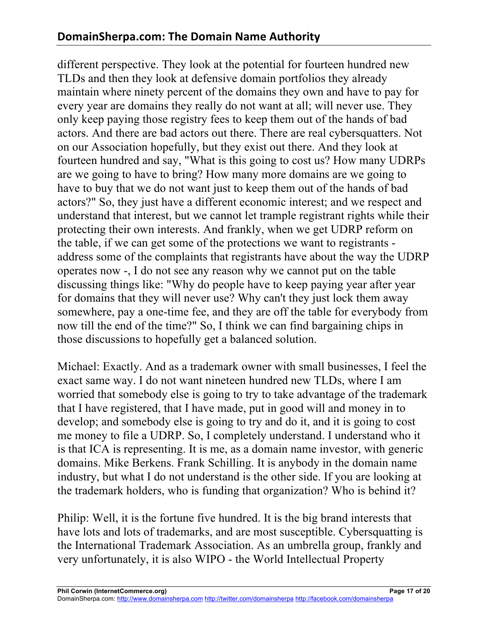different perspective. They look at the potential for fourteen hundred new TLDs and then they look at defensive domain portfolios they already maintain where ninety percent of the domains they own and have to pay for every year are domains they really do not want at all; will never use. They only keep paying those registry fees to keep them out of the hands of bad actors. And there are bad actors out there. There are real cybersquatters. Not on our Association hopefully, but they exist out there. And they look at fourteen hundred and say, "What is this going to cost us? How many UDRPs are we going to have to bring? How many more domains are we going to have to buy that we do not want just to keep them out of the hands of bad actors?" So, they just have a different economic interest; and we respect and understand that interest, but we cannot let trample registrant rights while their protecting their own interests. And frankly, when we get UDRP reform on the table, if we can get some of the protections we want to registrants address some of the complaints that registrants have about the way the UDRP operates now -, I do not see any reason why we cannot put on the table discussing things like: "Why do people have to keep paying year after year for domains that they will never use? Why can't they just lock them away somewhere, pay a one-time fee, and they are off the table for everybody from now till the end of the time?" So, I think we can find bargaining chips in those discussions to hopefully get a balanced solution.

Michael: Exactly. And as a trademark owner with small businesses, I feel the exact same way. I do not want nineteen hundred new TLDs, where I am worried that somebody else is going to try to take advantage of the trademark that I have registered, that I have made, put in good will and money in to develop; and somebody else is going to try and do it, and it is going to cost me money to file a UDRP. So, I completely understand. I understand who it is that ICA is representing. It is me, as a domain name investor, with generic domains. Mike Berkens. Frank Schilling. It is anybody in the domain name industry, but what I do not understand is the other side. If you are looking at the trademark holders, who is funding that organization? Who is behind it?

Philip: Well, it is the fortune five hundred. It is the big brand interests that have lots and lots of trademarks, and are most susceptible. Cybersquatting is the International Trademark Association. As an umbrella group, frankly and very unfortunately, it is also WIPO - the World Intellectual Property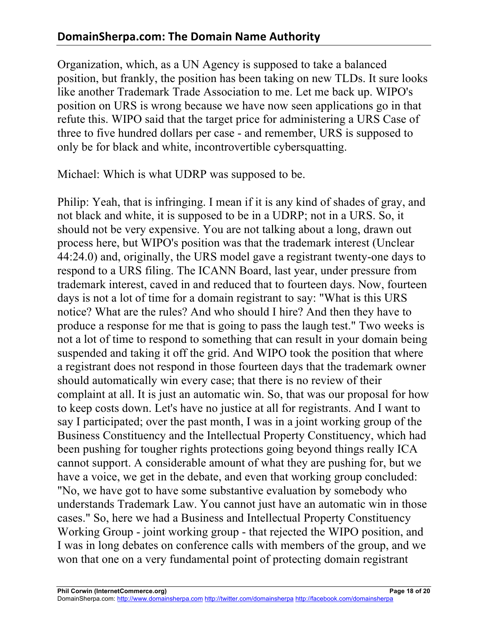Organization, which, as a UN Agency is supposed to take a balanced position, but frankly, the position has been taking on new TLDs. It sure looks like another Trademark Trade Association to me. Let me back up. WIPO's position on URS is wrong because we have now seen applications go in that refute this. WIPO said that the target price for administering a URS Case of three to five hundred dollars per case - and remember, URS is supposed to only be for black and white, incontrovertible cybersquatting.

Michael: Which is what UDRP was supposed to be.

Philip: Yeah, that is infringing. I mean if it is any kind of shades of gray, and not black and white, it is supposed to be in a UDRP; not in a URS. So, it should not be very expensive. You are not talking about a long, drawn out process here, but WIPO's position was that the trademark interest (Unclear 44:24.0) and, originally, the URS model gave a registrant twenty-one days to respond to a URS filing. The ICANN Board, last year, under pressure from trademark interest, caved in and reduced that to fourteen days. Now, fourteen days is not a lot of time for a domain registrant to say: "What is this URS notice? What are the rules? And who should I hire? And then they have to produce a response for me that is going to pass the laugh test." Two weeks is not a lot of time to respond to something that can result in your domain being suspended and taking it off the grid. And WIPO took the position that where a registrant does not respond in those fourteen days that the trademark owner should automatically win every case; that there is no review of their complaint at all. It is just an automatic win. So, that was our proposal for how to keep costs down. Let's have no justice at all for registrants. And I want to say I participated; over the past month, I was in a joint working group of the Business Constituency and the Intellectual Property Constituency, which had been pushing for tougher rights protections going beyond things really ICA cannot support. A considerable amount of what they are pushing for, but we have a voice, we get in the debate, and even that working group concluded: "No, we have got to have some substantive evaluation by somebody who understands Trademark Law. You cannot just have an automatic win in those cases." So, here we had a Business and Intellectual Property Constituency Working Group - joint working group - that rejected the WIPO position, and I was in long debates on conference calls with members of the group, and we won that one on a very fundamental point of protecting domain registrant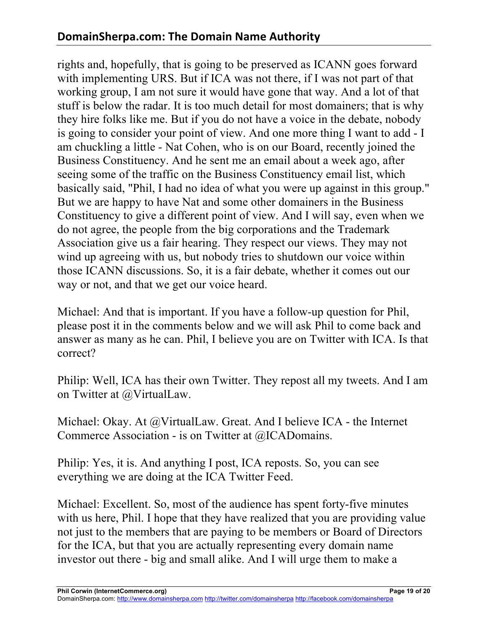rights and, hopefully, that is going to be preserved as ICANN goes forward with implementing URS. But if ICA was not there, if I was not part of that working group, I am not sure it would have gone that way. And a lot of that stuff is below the radar. It is too much detail for most domainers; that is why they hire folks like me. But if you do not have a voice in the debate, nobody is going to consider your point of view. And one more thing I want to add - I am chuckling a little - Nat Cohen, who is on our Board, recently joined the Business Constituency. And he sent me an email about a week ago, after seeing some of the traffic on the Business Constituency email list, which basically said, "Phil, I had no idea of what you were up against in this group." But we are happy to have Nat and some other domainers in the Business Constituency to give a different point of view. And I will say, even when we do not agree, the people from the big corporations and the Trademark Association give us a fair hearing. They respect our views. They may not wind up agreeing with us, but nobody tries to shutdown our voice within those ICANN discussions. So, it is a fair debate, whether it comes out our way or not, and that we get our voice heard.

Michael: And that is important. If you have a follow-up question for Phil, please post it in the comments below and we will ask Phil to come back and answer as many as he can. Phil, I believe you are on Twitter with ICA. Is that correct?

Philip: Well, ICA has their own Twitter. They repost all my tweets. And I am on Twitter at @VirtualLaw.

Michael: Okay. At @VirtualLaw. Great. And I believe ICA - the Internet Commerce Association - is on Twitter at @ICADomains.

Philip: Yes, it is. And anything I post, ICA reposts. So, you can see everything we are doing at the ICA Twitter Feed.

Michael: Excellent. So, most of the audience has spent forty-five minutes with us here, Phil. I hope that they have realized that you are providing value not just to the members that are paying to be members or Board of Directors for the ICA, but that you are actually representing every domain name investor out there - big and small alike. And I will urge them to make a